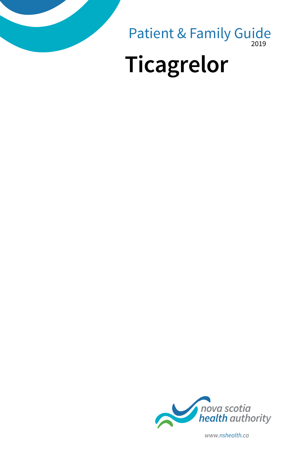

2019 Patient & Family Guide

# **Ticagrelor**



*www.nshealth.ca*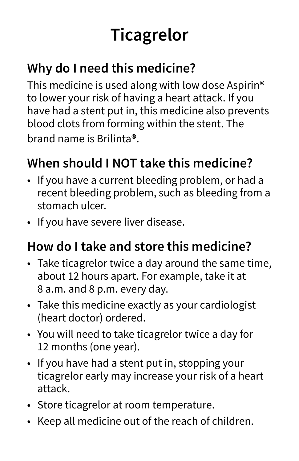## **Ticagrelor**

#### **Why do I need this medicine?**

This medicine is used along with low dose Aspirin<sup>®</sup> to lower your risk of having a heart attack. If you have had a stent put in, this medicine also prevents blood clots from forming within the stent. The brand name is Brilinta**®**.

### **When should I NOT take this medicine?**

- If you have a current bleeding problem, or had a recent bleeding problem, such as bleeding from a stomach ulcer.
- If you have severe liver disease.

#### **How do I take and store this medicine?**

- Take ticagrelor twice a day around the same time, about 12 hours apart. For example, take it at 8 a.m. and 8 p.m. every day.
- Take this medicine exactly as your cardiologist (heart doctor) ordered.
- You will need to take ticagrelor twice a day for 12 months (one year).
- If you have had a stent put in, stopping your ticagrelor early may increase your risk of a heart attack.
- Store ticagrelor at room temperature.
- Keep all medicine out of the reach of children.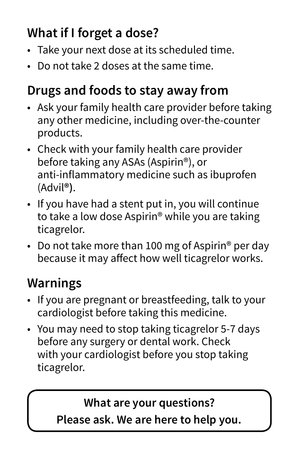### **What if I forget a dose?**

- Take your next dose at its scheduled time.
- Do not take 2 doses at the same time.

#### **Drugs and foods to stay away from**

- Ask your family health care provider before taking any other medicine, including over-the-counter products.
- Check with your family health care provider before taking any ASAs (Aspirin®), or anti-inflammatory medicine such as ibuprofen (Advil**®)**.
- If you have had a stent put in, you will continue to take a low dose Aspirin® while you are taking ticagrelor.
- Do not take more than 100 mg of Aspirin<sup>®</sup> per day because it may affect how well ticagrelor works.

#### **Warnings**

- If you are pregnant or breastfeeding, talk to your cardiologist before taking this medicine.
- You may need to stop taking ticagrelor 5-7 days before any surgery or dental work. Check with your cardiologist before you stop taking ticagrelor.

#### **What are your questions?**

**Please ask. We are here to help you.**